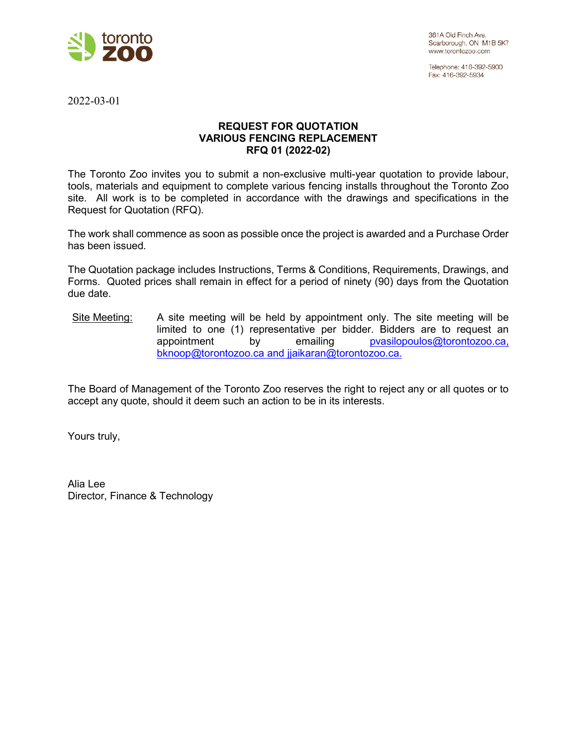

Telephone: 416-392-5900 Fax: 416-392-5934

2022-03-01

## **REQUEST FOR QUOTATION VARIOUS FENCING REPLACEMENT RFQ 01 (2022-02)**

The Toronto Zoo invites you to submit a non-exclusive multi-year quotation to provide labour, tools, materials and equipment to complete various fencing installs throughout the Toronto Zoo site. All work is to be completed in accordance with the drawings and specifications in the Request for Quotation (RFQ).

The work shall commence as soon as possible once the project is awarded and a Purchase Order has been issued.

The Quotation package includes Instructions, Terms & Conditions, Requirements, Drawings, and Forms. Quoted prices shall remain in effect for a period of ninety (90) days from the Quotation due date.

Site Meeting: A site meeting will be held by appointment only. The site meeting will be limited to one (1) representative per bidder. Bidders are to request an appointment by emailing [pvasilopoulos@torontozoo.ca,](mailto:pvasilopoulos@torontozoo.ca) bknoop@torontozoo.ca and jjaikaran@torontozoo.ca.

The Board of Management of the Toronto Zoo reserves the right to reject any or all quotes or to accept any quote, should it deem such an action to be in its interests.

Yours truly,

Alia Lee Director, Finance & Technology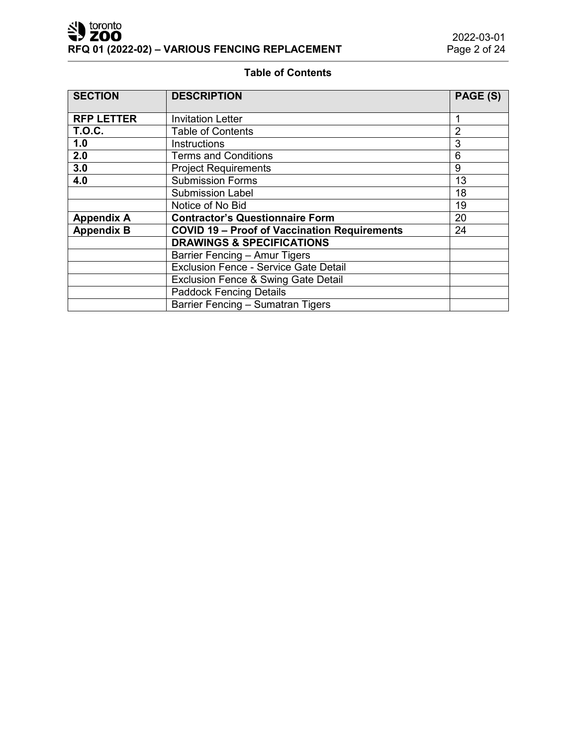# **Table of Contents**

| <b>SECTION</b>    | <b>DESCRIPTION</b>                                  | PAGE (S)       |  |
|-------------------|-----------------------------------------------------|----------------|--|
| <b>RFP LETTER</b> | <b>Invitation Letter</b>                            |                |  |
| <b>T.O.C.</b>     | <b>Table of Contents</b>                            | $\overline{2}$ |  |
| 1.0               | <b>Instructions</b>                                 | 3              |  |
| 2.0               | <b>Terms and Conditions</b>                         | 6              |  |
| 3.0               | <b>Project Requirements</b>                         | 9              |  |
| 4.0               | <b>Submission Forms</b>                             | 13             |  |
|                   | <b>Submission Label</b>                             | 18             |  |
|                   | Notice of No Bid                                    | 19             |  |
| <b>Appendix A</b> | <b>Contractor's Questionnaire Form</b>              | 20             |  |
| <b>Appendix B</b> | <b>COVID 19 - Proof of Vaccination Requirements</b> | 24             |  |
|                   | <b>DRAWINGS &amp; SPECIFICATIONS</b>                |                |  |
|                   | Barrier Fencing - Amur Tigers                       |                |  |
|                   | <b>Exclusion Fence - Service Gate Detail</b>        |                |  |
|                   | Exclusion Fence & Swing Gate Detail                 |                |  |
|                   | <b>Paddock Fencing Details</b>                      |                |  |
|                   | Barrier Fencing - Sumatran Tigers                   |                |  |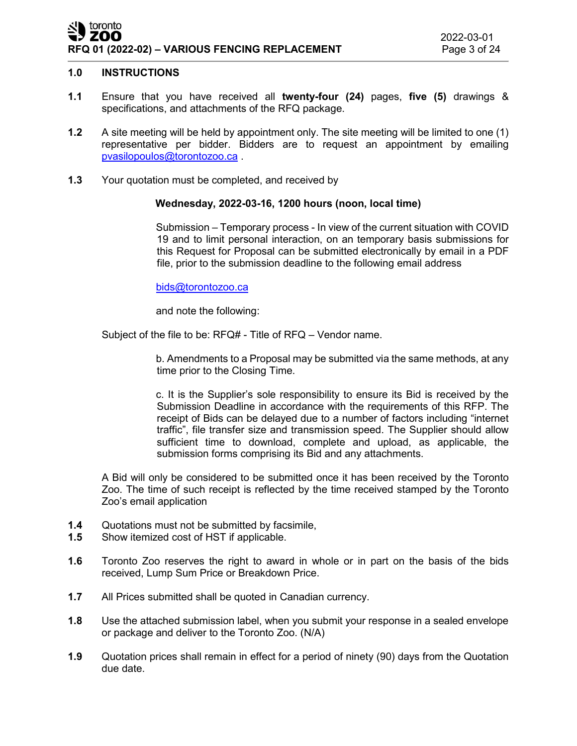## $\blacktriangleright$  toronto ZOO **RFQ 01 (2022-02) – VARIOUS FENCING REPLACEMENT** Page 3 of 24

## **1.0 INSTRUCTIONS**

- **1.1** Ensure that you have received all **twenty-four (24)** pages, **five (5)** drawings & specifications, and attachments of the RFQ package.
- **1.2** A site meeting will be held by appointment only. The site meeting will be limited to one (1) representative per bidder. Bidders are to request an appointment by emailing [pvasilopoulos@torontozoo.ca](mailto:pvasilopoulos@torontozoo.ca) .
- **1.3** Your quotation must be completed, and received by

## **Wednesday, 2022-03-16, 1200 hours (noon, local time)**

Submission – Temporary process - In view of the current situation with COVID 19 and to limit personal interaction, on an temporary basis submissions for this Request for Proposal can be submitted electronically by email in a PDF file, prior to the submission deadline to the following email address

[bids@torontozoo.ca](mailto:bids@torontozoo.ca) 

and note the following:

Subject of the file to be: RFQ# - Title of RFQ – Vendor name.

b. Amendments to a Proposal may be submitted via the same methods, at any time prior to the Closing Time.

c. It is the Supplier's sole responsibility to ensure its Bid is received by the Submission Deadline in accordance with the requirements of this RFP. The receipt of Bids can be delayed due to a number of factors including "internet traffic", file transfer size and transmission speed. The Supplier should allow sufficient time to download, complete and upload, as applicable, the submission forms comprising its Bid and any attachments.

A Bid will only be considered to be submitted once it has been received by the Toronto Zoo. The time of such receipt is reflected by the time received stamped by the Toronto Zoo's email application

- **1.4** Quotations must not be submitted by facsimile,
- **1.5** Show itemized cost of HST if applicable.
- **1.6** Toronto Zoo reserves the right to award in whole or in part on the basis of the bids received, Lump Sum Price or Breakdown Price.
- **1.7** All Prices submitted shall be quoted in Canadian currency.
- **1.8** Use the attached submission label, when you submit your response in a sealed envelope or package and deliver to the Toronto Zoo. (N/A)
- **1.9** Quotation prices shall remain in effect for a period of ninety (90) days from the Quotation due date.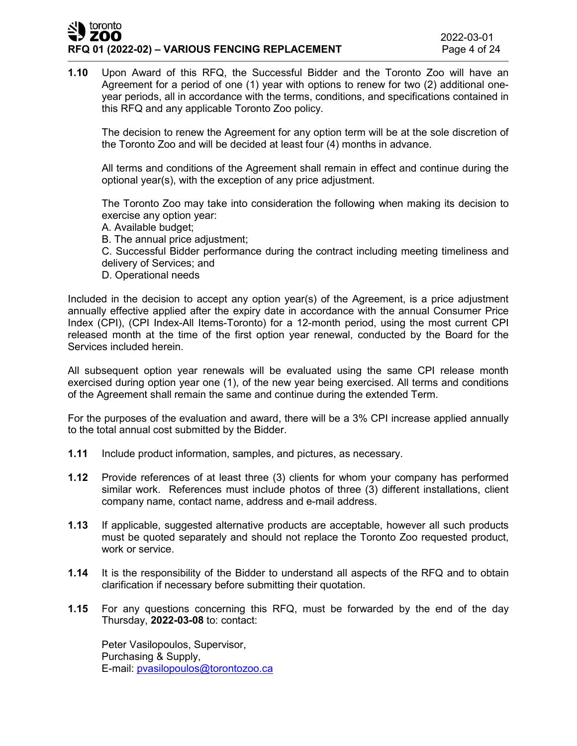## $\blacksquare$  toronto ZOO **RFQ 01 (2022-02) – VARIOUS FENCING REPLACEMENT** Page 4 of 24

**1.10** Upon Award of this RFQ, the Successful Bidder and the Toronto Zoo will have an Agreement for a period of one (1) year with options to renew for two (2) additional oneyear periods, all in accordance with the terms, conditions, and specifications contained in this RFQ and any applicable Toronto Zoo policy.

The decision to renew the Agreement for any option term will be at the sole discretion of the Toronto Zoo and will be decided at least four (4) months in advance.

All terms and conditions of the Agreement shall remain in effect and continue during the optional year(s), with the exception of any price adjustment.

The Toronto Zoo may take into consideration the following when making its decision to exercise any option year:

A. Available budget;

B. The annual price adjustment;

C. Successful Bidder performance during the contract including meeting timeliness and delivery of Services; and

D. Operational needs

Included in the decision to accept any option year(s) of the Agreement, is a price adjustment annually effective applied after the expiry date in accordance with the annual Consumer Price Index (CPI), (CPI Index-All Items-Toronto) for a 12-month period, using the most current CPI released month at the time of the first option year renewal, conducted by the Board for the Services included herein.

All subsequent option year renewals will be evaluated using the same CPI release month exercised during option year one (1), of the new year being exercised. All terms and conditions of the Agreement shall remain the same and continue during the extended Term.

For the purposes of the evaluation and award, there will be a 3% CPI increase applied annually to the total annual cost submitted by the Bidder.

- **1.11** Include product information, samples, and pictures, as necessary.
- **1.12** Provide references of at least three (3) clients for whom your company has performed similar work. References must include photos of three (3) different installations, client company name, contact name, address and e-mail address.
- **1.13** If applicable, suggested alternative products are acceptable, however all such products must be quoted separately and should not replace the Toronto Zoo requested product, work or service.
- **1.14** It is the responsibility of the Bidder to understand all aspects of the RFQ and to obtain clarification if necessary before submitting their quotation.
- **1.15** For any questions concerning this RFQ, must be forwarded by the end of the day Thursday, **2022-03-08** to: contact:

Peter Vasilopoulos, Supervisor, Purchasing & Supply, E-mail: [pvasilopoulos@torontozoo.ca](mailto:pvasilopoulos@torontozoo.ca)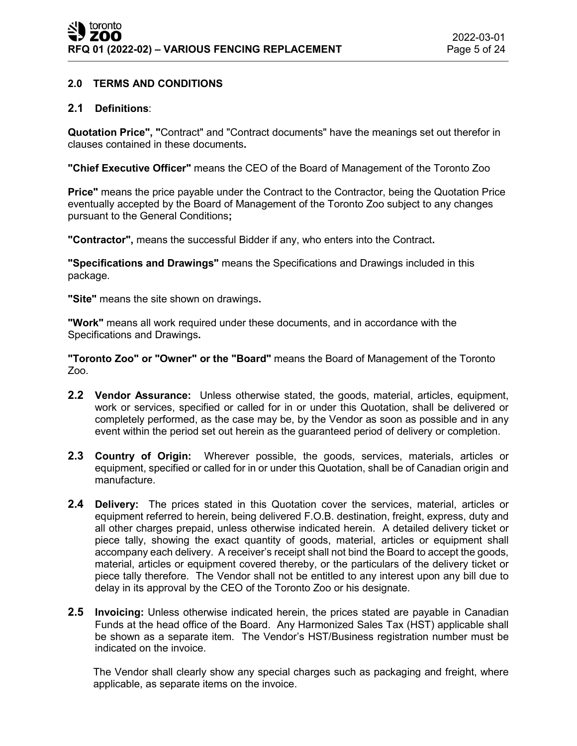# **2.0 TERMS AND CONDITIONS**

## **2.1 Definitions**:

**Quotation Price", "**Contract" and "Contract documents" have the meanings set out therefor in clauses contained in these documents**.**

**"Chief Executive Officer"** means the CEO of the Board of Management of the Toronto Zoo

**Price"** means the price payable under the Contract to the Contractor, being the Quotation Price eventually accepted by the Board of Management of the Toronto Zoo subject to any changes pursuant to the General Conditions**;**

**"Contractor",** means the successful Bidder if any, who enters into the Contract**.**

**"Specifications and Drawings"** means the Specifications and Drawings included in this package.

**"Site"** means the site shown on drawings**.**

**"Work"** means all work required under these documents, and in accordance with the Specifications and Drawings**.**

**"Toronto Zoo" or "Owner" or the "Board"** means the Board of Management of the Toronto Zoo.

- **2.2 Vendor Assurance:** Unless otherwise stated, the goods, material, articles, equipment, work or services, specified or called for in or under this Quotation, shall be delivered or completely performed, as the case may be, by the Vendor as soon as possible and in any event within the period set out herein as the guaranteed period of delivery or completion.
- **2.3 Country of Origin:** Wherever possible, the goods, services, materials, articles or equipment, specified or called for in or under this Quotation, shall be of Canadian origin and manufacture.
- **2.4 Delivery:** The prices stated in this Quotation cover the services, material, articles or equipment referred to herein, being delivered F.O.B. destination, freight, express, duty and all other charges prepaid, unless otherwise indicated herein. A detailed delivery ticket or piece tally, showing the exact quantity of goods, material, articles or equipment shall accompany each delivery. A receiver's receipt shall not bind the Board to accept the goods, material, articles or equipment covered thereby, or the particulars of the delivery ticket or piece tally therefore. The Vendor shall not be entitled to any interest upon any bill due to delay in its approval by the CEO of the Toronto Zoo or his designate.
- **2.5 Invoicing:** Unless otherwise indicated herein, the prices stated are payable in Canadian Funds at the head office of the Board. Any Harmonized Sales Tax (HST) applicable shall be shown as a separate item. The Vendor's HST/Business registration number must be indicated on the invoice.

The Vendor shall clearly show any special charges such as packaging and freight, where applicable, as separate items on the invoice.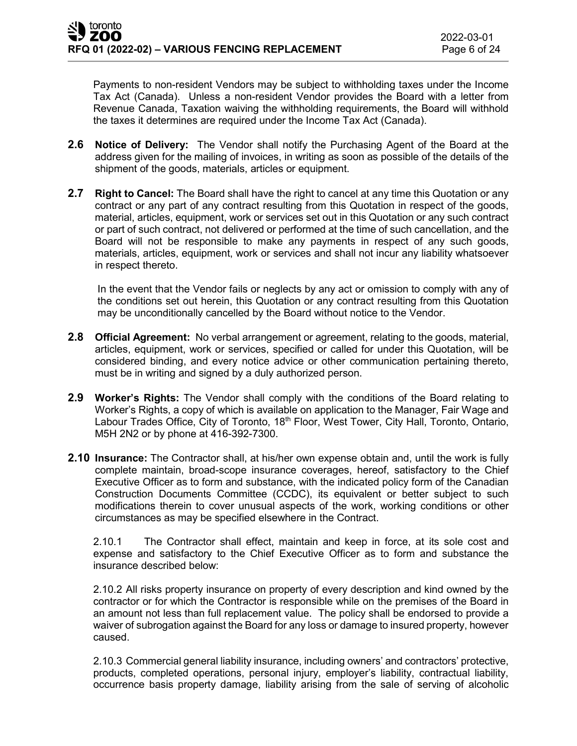Payments to non-resident Vendors may be subject to withholding taxes under the Income Tax Act (Canada). Unless a non-resident Vendor provides the Board with a letter from Revenue Canada, Taxation waiving the withholding requirements, the Board will withhold the taxes it determines are required under the Income Tax Act (Canada).

- **2.6 Notice of Delivery:** The Vendor shall notify the Purchasing Agent of the Board at the address given for the mailing of invoices, in writing as soon as possible of the details of the shipment of the goods, materials, articles or equipment.
- **2.7 Right to Cancel:** The Board shall have the right to cancel at any time this Quotation or any contract or any part of any contract resulting from this Quotation in respect of the goods, material, articles, equipment, work or services set out in this Quotation or any such contract or part of such contract, not delivered or performed at the time of such cancellation, and the Board will not be responsible to make any payments in respect of any such goods, materials, articles, equipment, work or services and shall not incur any liability whatsoever in respect thereto.

In the event that the Vendor fails or neglects by any act or omission to comply with any of the conditions set out herein, this Quotation or any contract resulting from this Quotation may be unconditionally cancelled by the Board without notice to the Vendor.

- **2.8 Official Agreement:** No verbal arrangement or agreement, relating to the goods, material, articles, equipment, work or services, specified or called for under this Quotation, will be considered binding, and every notice advice or other communication pertaining thereto, must be in writing and signed by a duly authorized person.
- **2.9 Worker's Rights:** The Vendor shall comply with the conditions of the Board relating to Worker's Rights, a copy of which is available on application to the Manager, Fair Wage and Labour Trades Office, City of Toronto, 18<sup>th</sup> Floor, West Tower, City Hall, Toronto, Ontario, M5H 2N2 or by phone at 416-392-7300.
- **2.10 Insurance:** The Contractor shall, at his/her own expense obtain and, until the work is fully complete maintain, broad-scope insurance coverages, hereof, satisfactory to the Chief Executive Officer as to form and substance, with the indicated policy form of the Canadian Construction Documents Committee (CCDC), its equivalent or better subject to such modifications therein to cover unusual aspects of the work, working conditions or other circumstances as may be specified elsewhere in the Contract.

2.10.1 The Contractor shall effect, maintain and keep in force, at its sole cost and expense and satisfactory to the Chief Executive Officer as to form and substance the insurance described below:

2.10.2 All risks property insurance on property of every description and kind owned by the contractor or for which the Contractor is responsible while on the premises of the Board in an amount not less than full replacement value. The policy shall be endorsed to provide a waiver of subrogation against the Board for any loss or damage to insured property, however caused.

2.10.3 Commercial general liability insurance, including owners' and contractors' protective, products, completed operations, personal injury, employer's liability, contractual liability, occurrence basis property damage, liability arising from the sale of serving of alcoholic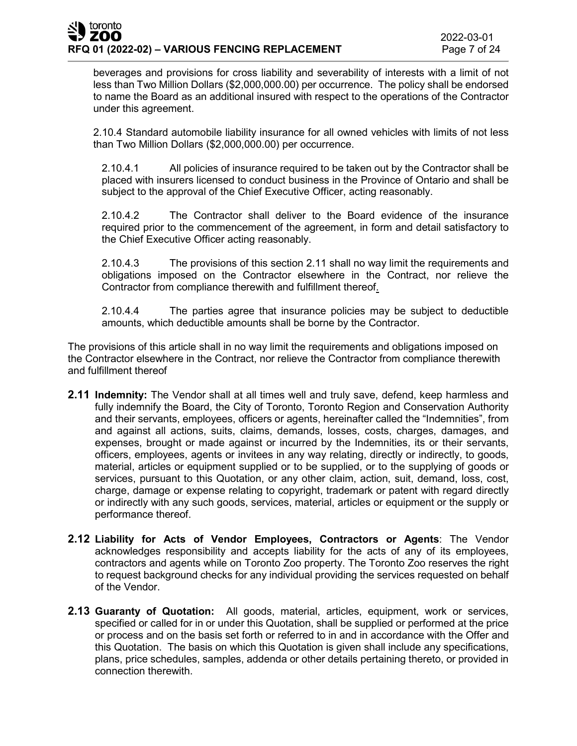beverages and provisions for cross liability and severability of interests with a limit of not less than Two Million Dollars (\$2,000,000.00) per occurrence. The policy shall be endorsed to name the Board as an additional insured with respect to the operations of the Contractor under this agreement.

2.10.4 Standard automobile liability insurance for all owned vehicles with limits of not less than Two Million Dollars (\$2,000,000.00) per occurrence.

2.10.4.1 All policies of insurance required to be taken out by the Contractor shall be placed with insurers licensed to conduct business in the Province of Ontario and shall be subject to the approval of the Chief Executive Officer, acting reasonably.

2.10.4.2 The Contractor shall deliver to the Board evidence of the insurance required prior to the commencement of the agreement, in form and detail satisfactory to the Chief Executive Officer acting reasonably.

2.10.4.3 The provisions of this section 2.11 shall no way limit the requirements and obligations imposed on the Contractor elsewhere in the Contract, nor relieve the Contractor from compliance therewith and fulfillment thereof.

2.10.4.4 The parties agree that insurance policies may be subject to deductible amounts, which deductible amounts shall be borne by the Contractor.

The provisions of this article shall in no way limit the requirements and obligations imposed on the Contractor elsewhere in the Contract, nor relieve the Contractor from compliance therewith and fulfillment thereof

- **2.11 Indemnity:** The Vendor shall at all times well and truly save, defend, keep harmless and fully indemnify the Board, the City of Toronto, Toronto Region and Conservation Authority and their servants, employees, officers or agents, hereinafter called the "Indemnities", from and against all actions, suits, claims, demands, losses, costs, charges, damages, and expenses, brought or made against or incurred by the Indemnities, its or their servants, officers, employees, agents or invitees in any way relating, directly or indirectly, to goods, material, articles or equipment supplied or to be supplied, or to the supplying of goods or services, pursuant to this Quotation, or any other claim, action, suit, demand, loss, cost, charge, damage or expense relating to copyright, trademark or patent with regard directly or indirectly with any such goods, services, material, articles or equipment or the supply or performance thereof.
- **2.12 Liability for Acts of Vendor Employees, Contractors or Agents**: The Vendor acknowledges responsibility and accepts liability for the acts of any of its employees, contractors and agents while on Toronto Zoo property. The Toronto Zoo reserves the right to request background checks for any individual providing the services requested on behalf of the Vendor.
- **2.13 Guaranty of Quotation:** All goods, material, articles, equipment, work or services, specified or called for in or under this Quotation, shall be supplied or performed at the price or process and on the basis set forth or referred to in and in accordance with the Offer and this Quotation. The basis on which this Quotation is given shall include any specifications, plans, price schedules, samples, addenda or other details pertaining thereto, or provided in connection therewith.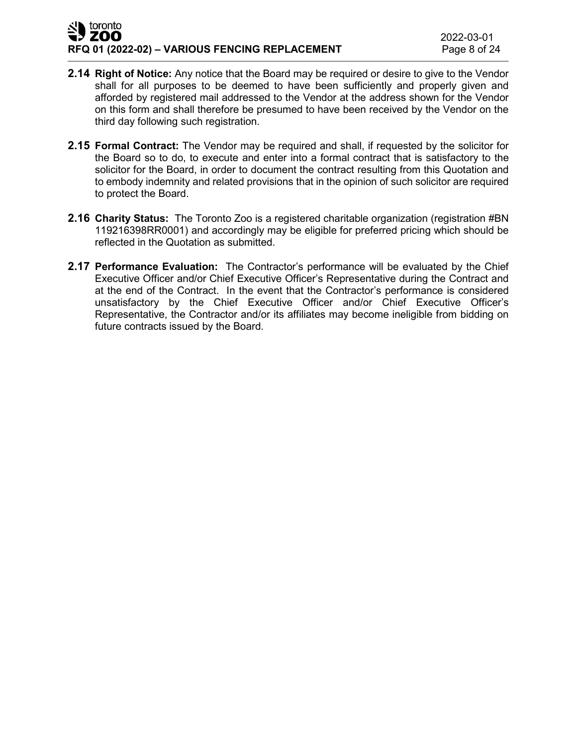## latoronto ZOO **RFQ 01 (2022-02) – VARIOUS FENCING REPLACEMENT** Page 8 of 24

- **2.14 Right of Notice:** Any notice that the Board may be required or desire to give to the Vendor shall for all purposes to be deemed to have been sufficiently and properly given and afforded by registered mail addressed to the Vendor at the address shown for the Vendor on this form and shall therefore be presumed to have been received by the Vendor on the third day following such registration.
- **2.15 Formal Contract:** The Vendor may be required and shall, if requested by the solicitor for the Board so to do, to execute and enter into a formal contract that is satisfactory to the solicitor for the Board, in order to document the contract resulting from this Quotation and to embody indemnity and related provisions that in the opinion of such solicitor are required to protect the Board.
- **2.16 Charity Status:** The Toronto Zoo is a registered charitable organization (registration #BN 119216398RR0001) and accordingly may be eligible for preferred pricing which should be reflected in the Quotation as submitted.
- **2.17 Performance Evaluation:** The Contractor's performance will be evaluated by the Chief Executive Officer and/or Chief Executive Officer's Representative during the Contract and at the end of the Contract. In the event that the Contractor's performance is considered unsatisfactory by the Chief Executive Officer and/or Chief Executive Officer's Representative, the Contractor and/or its affiliates may become ineligible from bidding on future contracts issued by the Board.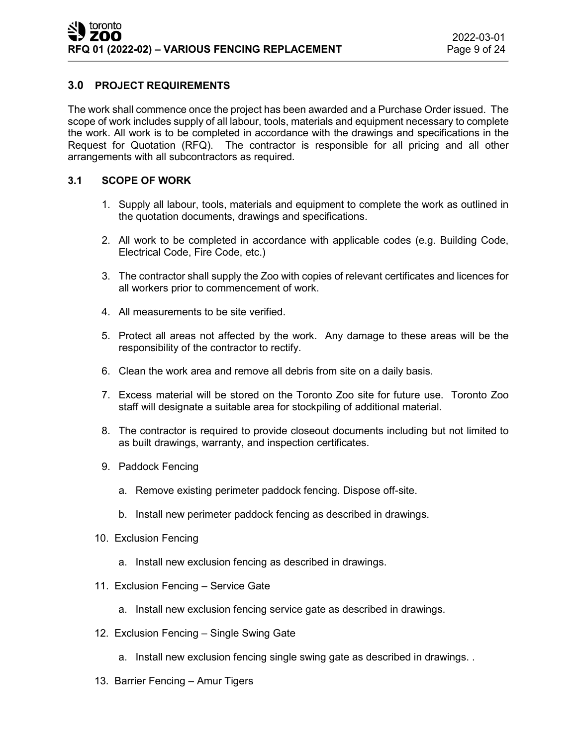# **3.0 PROJECT REQUIREMENTS**

The work shall commence once the project has been awarded and a Purchase Order issued. The scope of work includes supply of all labour, tools, materials and equipment necessary to complete the work. All work is to be completed in accordance with the drawings and specifications in the Request for Quotation (RFQ). The contractor is responsible for all pricing and all other arrangements with all subcontractors as required.

## **3.1 SCOPE OF WORK**

- 1. Supply all labour, tools, materials and equipment to complete the work as outlined in the quotation documents, drawings and specifications.
- 2. All work to be completed in accordance with applicable codes (e.g. Building Code, Electrical Code, Fire Code, etc.)
- 3. The contractor shall supply the Zoo with copies of relevant certificates and licences for all workers prior to commencement of work.
- 4. All measurements to be site verified.
- 5. Protect all areas not affected by the work. Any damage to these areas will be the responsibility of the contractor to rectify.
- 6. Clean the work area and remove all debris from site on a daily basis.
- 7. Excess material will be stored on the Toronto Zoo site for future use. Toronto Zoo staff will designate a suitable area for stockpiling of additional material.
- 8. The contractor is required to provide closeout documents including but not limited to as built drawings, warranty, and inspection certificates.
- 9. Paddock Fencing
	- a. Remove existing perimeter paddock fencing. Dispose off-site.
	- b. Install new perimeter paddock fencing as described in drawings.
- 10. Exclusion Fencing
	- a. Install new exclusion fencing as described in drawings.
- 11. Exclusion Fencing Service Gate
	- a. Install new exclusion fencing service gate as described in drawings.
- 12. Exclusion Fencing Single Swing Gate
	- a. Install new exclusion fencing single swing gate as described in drawings. .
- 13. Barrier Fencing Amur Tigers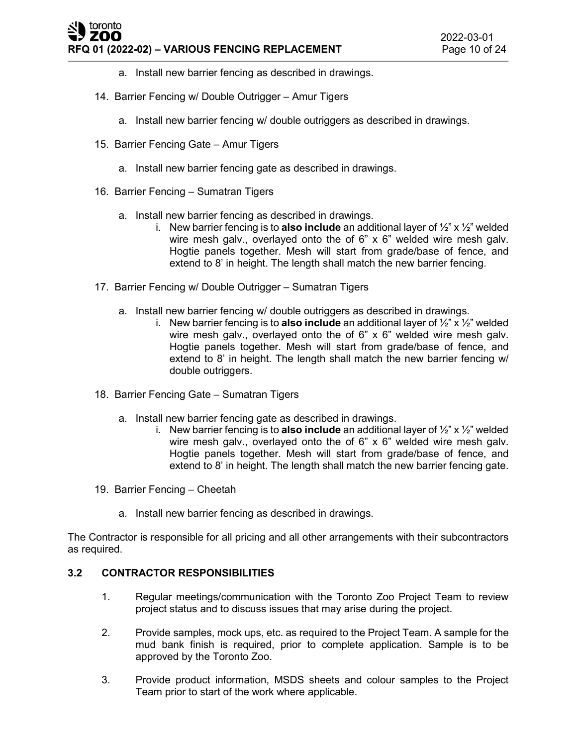## toronto ZOO **RFQ 01 (2022-02) – VARIOUS FENCING REPLACEMENT** Page 10 of 24

- a. Install new barrier fencing as described in drawings.
- 14. Barrier Fencing w/ Double Outrigger Amur Tigers
	- a. Install new barrier fencing w/ double outriggers as described in drawings.
- 15. Barrier Fencing Gate Amur Tigers
	- a. Install new barrier fencing gate as described in drawings.
- 16. Barrier Fencing Sumatran Tigers
	- a. Install new barrier fencing as described in drawings.
		- i. New barrier fencing is to **also include** an additional layer of ½" x ½" welded wire mesh galv., overlayed onto the of 6" x 6" welded wire mesh galv. Hogtie panels together. Mesh will start from grade/base of fence, and extend to 8' in height. The length shall match the new barrier fencing.
- 17. Barrier Fencing w/ Double Outrigger Sumatran Tigers
	- a. Install new barrier fencing w/ double outriggers as described in drawings.
		- i. New barrier fencing is to **also include** an additional layer of ½" x ½" welded wire mesh galv., overlayed onto the of 6" x 6" welded wire mesh galv. Hogtie panels together. Mesh will start from grade/base of fence, and extend to 8' in height. The length shall match the new barrier fencing w/ double outriggers.
- 18. Barrier Fencing Gate Sumatran Tigers
	- a. Install new barrier fencing gate as described in drawings.
		- i. New barrier fencing is to **also include** an additional layer of ½" x ½" welded wire mesh galv., overlayed onto the of 6" x 6" welded wire mesh galv. Hogtie panels together. Mesh will start from grade/base of fence, and extend to 8' in height. The length shall match the new barrier fencing gate.
- 19. Barrier Fencing Cheetah
	- a. Install new barrier fencing as described in drawings.

The Contractor is responsible for all pricing and all other arrangements with their subcontractors as required.

# **3.2 CONTRACTOR RESPONSIBILITIES**

- 1. Regular meetings/communication with the Toronto Zoo Project Team to review project status and to discuss issues that may arise during the project.
- 2. Provide samples, mock ups, etc. as required to the Project Team. A sample for the mud bank finish is required, prior to complete application. Sample is to be approved by the Toronto Zoo.
- 3. Provide product information, MSDS sheets and colour samples to the Project Team prior to start of the work where applicable.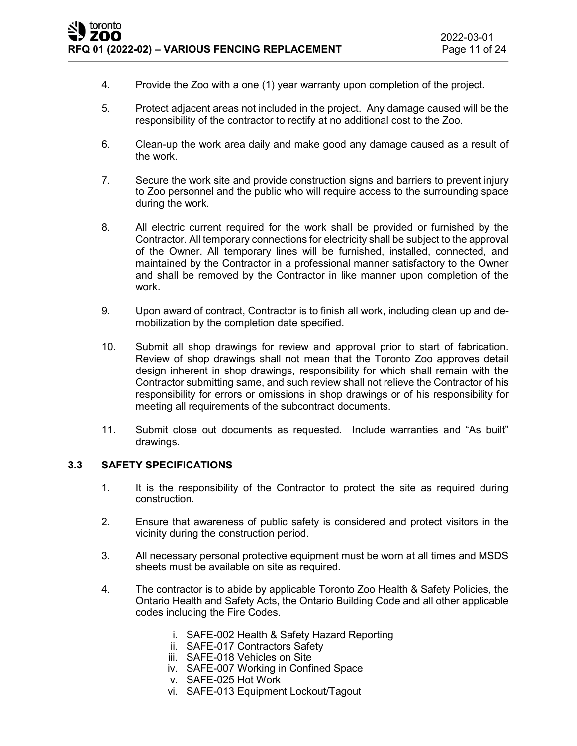- 4. Provide the Zoo with a one (1) year warranty upon completion of the project.
- 5. Protect adjacent areas not included in the project. Any damage caused will be the responsibility of the contractor to rectify at no additional cost to the Zoo.
- 6. Clean-up the work area daily and make good any damage caused as a result of the work.
- 7. Secure the work site and provide construction signs and barriers to prevent injury to Zoo personnel and the public who will require access to the surrounding space during the work.
- 8. All electric current required for the work shall be provided or furnished by the Contractor. All temporary connections for electricity shall be subject to the approval of the Owner. All temporary lines will be furnished, installed, connected, and maintained by the Contractor in a professional manner satisfactory to the Owner and shall be removed by the Contractor in like manner upon completion of the work.
- 9. Upon award of contract, Contractor is to finish all work, including clean up and demobilization by the completion date specified.
- 10. Submit all shop drawings for review and approval prior to start of fabrication. Review of shop drawings shall not mean that the Toronto Zoo approves detail design inherent in shop drawings, responsibility for which shall remain with the Contractor submitting same, and such review shall not relieve the Contractor of his responsibility for errors or omissions in shop drawings or of his responsibility for meeting all requirements of the subcontract documents.
- 11. Submit close out documents as requested. Include warranties and "As built" drawings.

## **3.3 SAFETY SPECIFICATIONS**

- 1. It is the responsibility of the Contractor to protect the site as required during construction.
- 2. Ensure that awareness of public safety is considered and protect visitors in the vicinity during the construction period.
- 3. All necessary personal protective equipment must be worn at all times and MSDS sheets must be available on site as required.
- 4. The contractor is to abide by applicable Toronto Zoo Health & Safety Policies, the Ontario Health and Safety Acts, the Ontario Building Code and all other applicable codes including the Fire Codes.
	- i. SAFE-002 Health & Safety Hazard Reporting
	- ii. SAFE-017 Contractors Safety
	- iii. SAFE-018 Vehicles on Site
	- iv. SAFE-007 Working in Confined Space
	- v. SAFE-025 Hot Work
	- vi. SAFE-013 Equipment Lockout/Tagout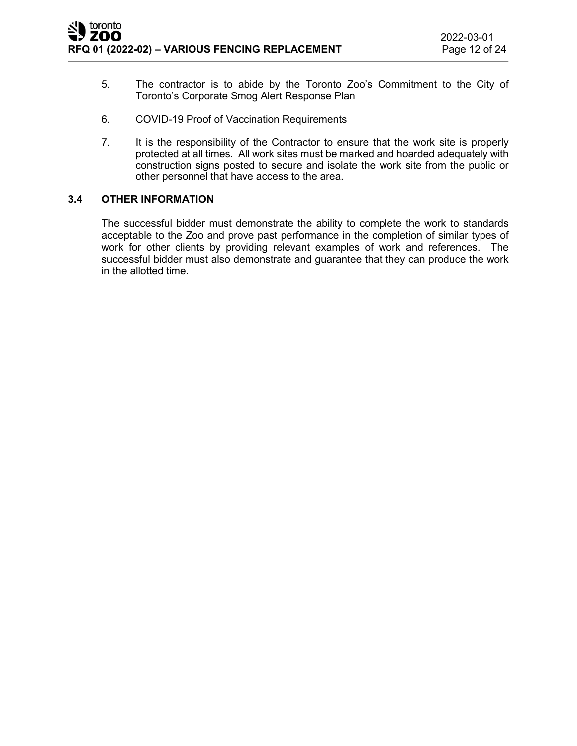- 5. The contractor is to abide by the Toronto Zoo's Commitment to the City of Toronto's Corporate Smog Alert Response Plan
- 6. COVID-19 Proof of Vaccination Requirements
- 7. It is the responsibility of the Contractor to ensure that the work site is properly protected at all times. All work sites must be marked and hoarded adequately with construction signs posted to secure and isolate the work site from the public or other personnel that have access to the area.

## **3.4 OTHER INFORMATION**

The successful bidder must demonstrate the ability to complete the work to standards acceptable to the Zoo and prove past performance in the completion of similar types of work for other clients by providing relevant examples of work and references. The successful bidder must also demonstrate and guarantee that they can produce the work in the allotted time.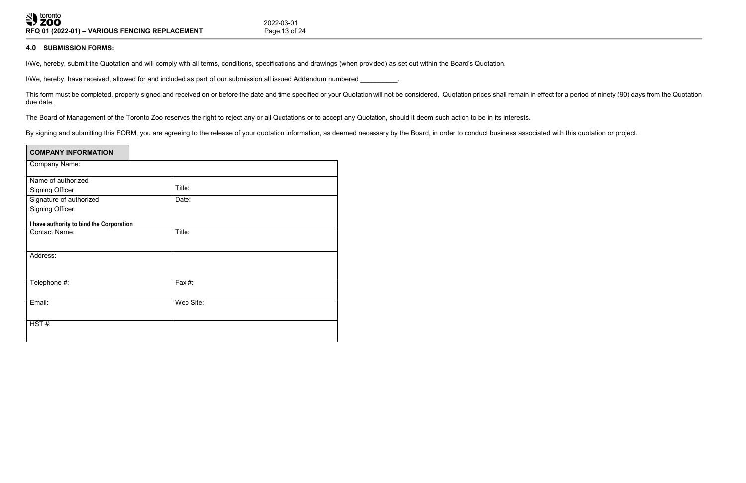# **4.0 SUBMISSION FORMS:**

I/We, hereby, submit the Quotation and will comply with all terms, conditions, specifications and drawings (when provided) as set out within the Board's Quotation.

I/We, hereby, have received, allowed for and included as part of our submission all issued Addendum numbered \_\_\_\_\_\_\_\_\_.

This form must be completed, properly signed and received on or before the date and time specified or your Quotation will not be considered. Quotation prices shall remain in effect for a period of ninety (90) days from the due date.

The Board of Management of the Toronto Zoo reserves the right to reject any or all Quotations or to accept any Quotation, should it deem such action to be in its interests.

By signing and submitting this FORM, you are agreeing to the release of your quotation information, as deemed necessary by the Board, in order to conduct business associated with this quotation or project.

| <b>COMPANY INFORMATION</b>               |           |
|------------------------------------------|-----------|
| Company Name:                            |           |
| Name of authorized                       |           |
| <b>Signing Officer</b>                   | Title:    |
| Signature of authorized                  | Date:     |
| <b>Signing Officer:</b>                  |           |
| I have authority to bind the Corporation |           |
| <b>Contact Name:</b>                     | Title:    |
|                                          |           |
| Address:                                 |           |
|                                          |           |
| Telephone #:                             | Fax #:    |
| Email:                                   | Web Site: |
|                                          |           |
|                                          |           |
| HST#:                                    |           |
|                                          |           |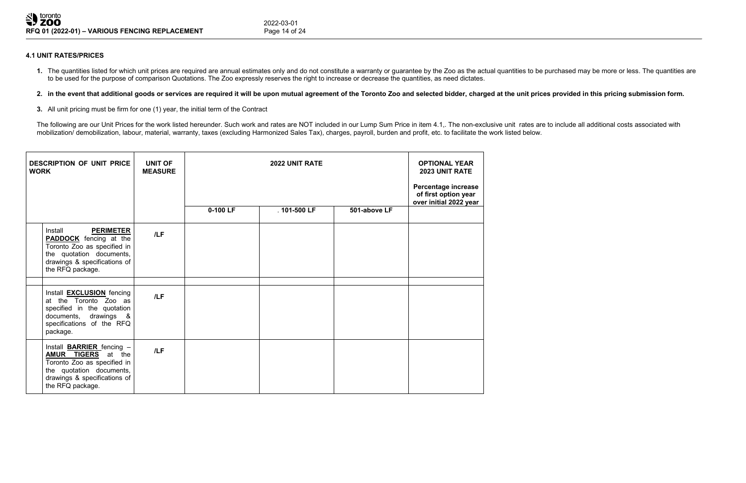# **4.1 UNIT RATES/PRICES**

1. The quantities listed for which unit prices are required are annual estimates only and do not constitute a warranty or guarantee by the Zoo as the actual quantities to be purchased may be more or less. The quantities ar to be used for the purpose of comparison Quotations. The Zoo expressly reserves the right to increase or decrease the quantities, as need dictates.

# 2. in the event that additional goods or services are required it will be upon mutual agreement of the Toronto Zoo and selected bidder, charged at the unit prices provided in this pricing submission form.

The following are our Unit Prices for the work listed hereunder. Such work and rates are NOT included in our Lump Sum Price in item 4.1,. The non-exclusive unit rates are to include all additional costs associated with mobilization/ demobilization, labour, material, warranty, taxes (excluding Harmonized Sales Tax), charges, payroll, burden and profit, etc. to facilitate the work listed below.

**3.** All unit pricing must be firm for one (1) year, the initial term of the Contract

| <b>WORK</b> | <b>DESCRIPTION OF UNIT PRICE</b>                                                                                                                                             | <b>UNIT OF</b><br><b>MEASURE</b> | <b>2022 UNIT RATE</b> |                 | <b>OPTIONAL YEAR</b><br>2023 UNIT RATE<br>Percentage increase<br>of first option year<br>over initial 2022 year |  |
|-------------|------------------------------------------------------------------------------------------------------------------------------------------------------------------------------|----------------------------------|-----------------------|-----------------|-----------------------------------------------------------------------------------------------------------------|--|
|             |                                                                                                                                                                              |                                  | 0-100 LF              | $.401 - 500$ LF | 501-above LF                                                                                                    |  |
|             | Install<br><b>PERIMETER</b><br><b>PADDOCK</b> fencing at the<br>Toronto Zoo as specified in<br>the quotation documents,<br>drawings & specifications of<br>the RFQ package.  | /LF                              |                       |                 |                                                                                                                 |  |
|             | Install <b>EXCLUSION</b> fencing<br>at the Toronto Zoo as<br>specified in the quotation<br>documents, drawings &<br>specifications of the RFQ<br>package.                    | /LF                              |                       |                 |                                                                                                                 |  |
|             | Install <b>BARRIER</b> fencing -<br><b>AMUR TIGERS</b> at the<br>Toronto Zoo as specified in<br>the quotation documents,<br>drawings & specifications of<br>the RFQ package. | /LF                              |                       |                 |                                                                                                                 |  |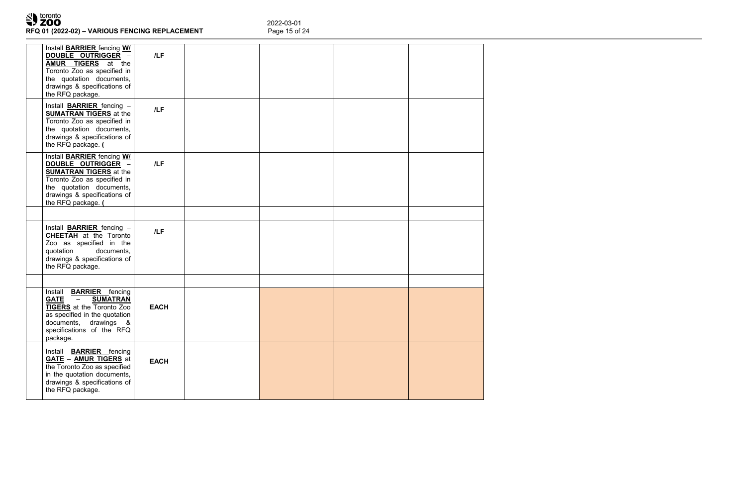# **Rival to contidents**<br>**RFQ 01 (2022-02) – VARIOUS FENCING REPLACEMENT**

2022-03-01<br>Page 15 of 24

| the RFQ package.                      | Install <b>BARRIER</b> fencing WI<br>DOUBLE OUTRIGGER -<br><b>AMUR TIGERS</b> at the<br>Toronto Zoo as specified in<br>the quotation documents,<br>drawings & specifications of<br>Install <b>BARRIER</b> fencing -<br><b>SUMATRAN TIGERS</b> at the | /LF<br>/LF  |  |  |
|---------------------------------------|------------------------------------------------------------------------------------------------------------------------------------------------------------------------------------------------------------------------------------------------------|-------------|--|--|
| the RFQ package. (                    | Toronto Zoo as specified in<br>the quotation documents,<br>drawings & specifications of                                                                                                                                                              |             |  |  |
| the RFQ package. (                    | Install <b>BARRIER</b> fencing WI<br>DOUBLE OUTRIGGER -<br><b>SUMATRAN TIGERS</b> at the<br>Toronto Zoo as specified in<br>the quotation documents,<br>drawings & specifications of                                                                  | /LF         |  |  |
|                                       | Install <b>BARRIER</b> fencing -                                                                                                                                                                                                                     |             |  |  |
| quotation<br>the RFQ package.         | <b>CHEETAH</b> at the Toronto<br>Zoo as specified in the<br>documents,<br>drawings & specifications of                                                                                                                                               | /LF         |  |  |
|                                       |                                                                                                                                                                                                                                                      |             |  |  |
| <b>GATE</b><br>documents,<br>package. | Install <b>BARRIER</b> fencing<br><b>SUMATRAN</b><br>$\overline{\phantom{0}}$<br><b>TIGERS</b> at the Toronto Zoo<br>as specified in the quotation<br>drawings &<br>specifications of the RFQ                                                        | <b>EACH</b> |  |  |
| the RFQ package.                      | Install <b>BARRIER</b> fencing<br><b>GATE - AMUR TIGERS</b> at<br>the Toronto Zoo as specified<br>in the quotation documents,<br>drawings & specifications of                                                                                        | <b>EACH</b> |  |  |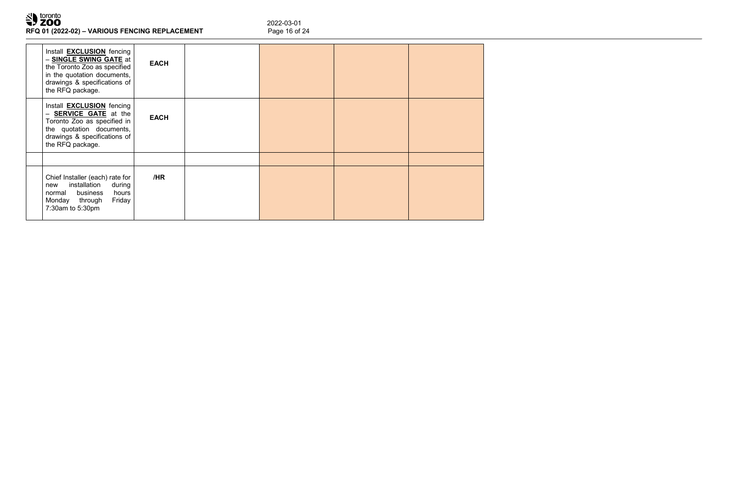

2022-03-01<br>Page 16 of 24

| Install <b>EXCLUSION</b> fencing<br>- SINGLE SWING GATE at<br>the Toronto Zoo as specified<br>in the quotation documents,<br>drawings & specifications of<br>the RFQ package.        | <b>EACH</b> |  |  |
|--------------------------------------------------------------------------------------------------------------------------------------------------------------------------------------|-------------|--|--|
| Install <b>EXCLUSION</b> fencing<br><b>SERVICE GATE</b> at the<br>$-$<br>Toronto Zoo as specified in<br>the quotation documents,<br>drawings & specifications of<br>the RFQ package. | <b>EACH</b> |  |  |
| Chief Installer (each) rate for<br>installation<br>during<br>new<br>normal business<br>hours<br>Friday<br>Monday through<br>7:30am to 5:30pm                                         | /HR         |  |  |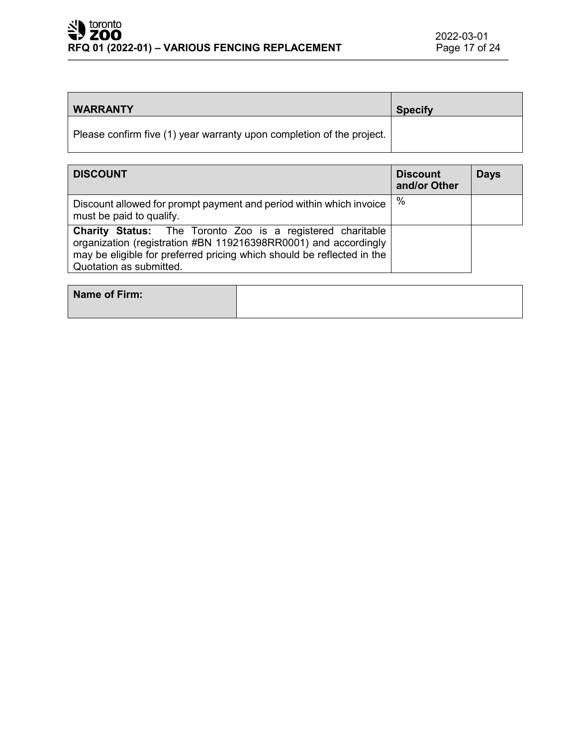| <b>WARRANTY</b>                                                       | <b>Specify</b> |
|-----------------------------------------------------------------------|----------------|
| Please confirm five (1) year warranty upon completion of the project. |                |

| <b>DISCOUNT</b>                                                                                                                                                                                                                           | <b>Discount</b><br>and/or Other | <b>Days</b> |
|-------------------------------------------------------------------------------------------------------------------------------------------------------------------------------------------------------------------------------------------|---------------------------------|-------------|
| Discount allowed for prompt payment and period within which invoice<br>must be paid to qualify.                                                                                                                                           | $\%$                            |             |
| <b>Charity Status:</b> The Toronto Zoo is a registered charitable<br>organization (registration #BN 119216398RR0001) and accordingly<br>may be eligible for preferred pricing which should be reflected in the<br>Quotation as submitted. |                                 |             |

| Name of Firm: |  |
|---------------|--|
|               |  |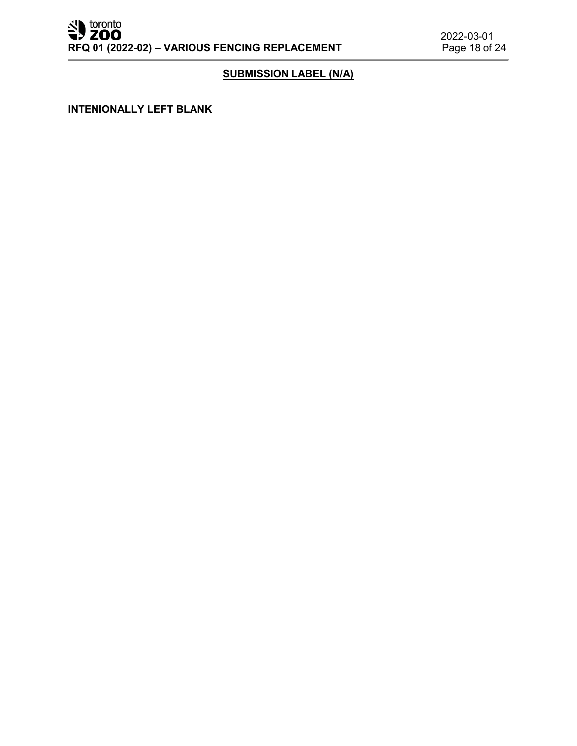# **SUBMISSION LABEL (N/A)**

**INTENIONALLY LEFT BLANK**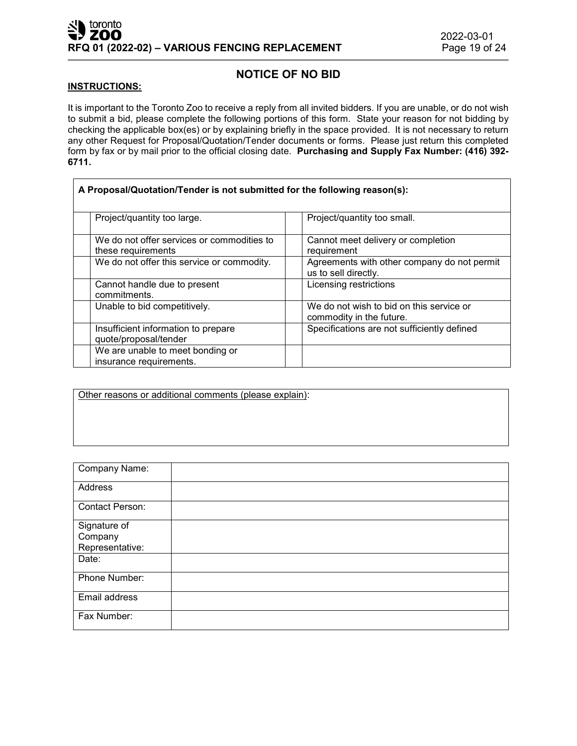# **NOTICE OF NO BID**

#### **INSTRUCTIONS:**

It is important to the Toronto Zoo to receive a reply from all invited bidders. If you are unable, or do not wish to submit a bid, please complete the following portions of this form. State your reason for not bidding by checking the applicable box(es) or by explaining briefly in the space provided. It is not necessary to return any other Request for Proposal/Quotation/Tender documents or forms. Please just return this completed form by fax or by mail prior to the official closing date. **Purchasing and Supply Fax Number: (416) 392- 6711.**

| A Proposal/Quotation/Tender is not submitted for the following reason(s): |                                                                      |  |  |  |
|---------------------------------------------------------------------------|----------------------------------------------------------------------|--|--|--|
| Project/quantity too large.                                               | Project/quantity too small.                                          |  |  |  |
| We do not offer services or commodities to<br>these requirements          | Cannot meet delivery or completion<br>requirement                    |  |  |  |
| We do not offer this service or commodity.                                | Agreements with other company do not permit<br>us to sell directly.  |  |  |  |
| Cannot handle due to present<br>commitments.                              | Licensing restrictions                                               |  |  |  |
| Unable to bid competitively.                                              | We do not wish to bid on this service or<br>commodity in the future. |  |  |  |
| Insufficient information to prepare<br>quote/proposal/tender              | Specifications are not sufficiently defined                          |  |  |  |
| We are unable to meet bonding or<br>insurance requirements.               |                                                                      |  |  |  |

Other reasons or additional comments (please explain):

| Company Name:                              |  |
|--------------------------------------------|--|
| Address                                    |  |
| Contact Person:                            |  |
| Signature of<br>Company<br>Representative: |  |
| Date:                                      |  |
| Phone Number:                              |  |
| Email address                              |  |
| Fax Number:                                |  |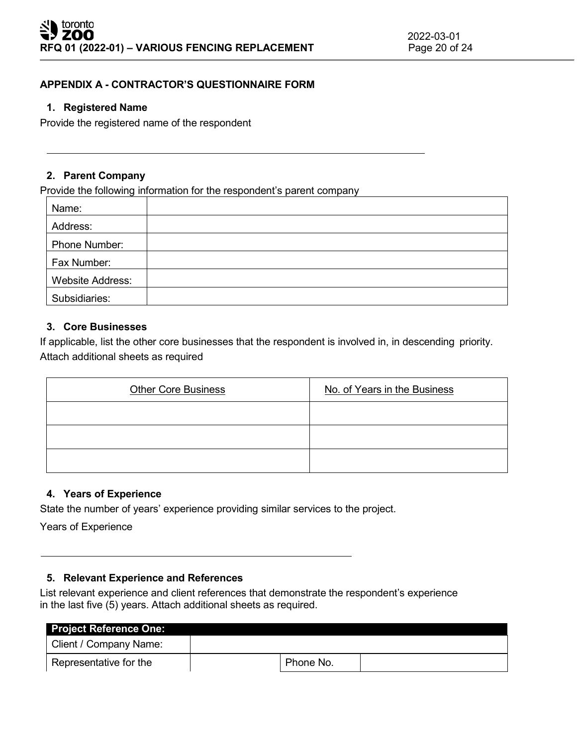# **APPENDIX A - CONTRACTOR'S QUESTIONNAIRE FORM**

## **1. Registered Name**

Provide the registered name of the respondent

## **2. Parent Company**

Provide the following information for the respondent's parent company

| Name:                   |  |
|-------------------------|--|
| Address:                |  |
| Phone Number:           |  |
| Fax Number:             |  |
| <b>Website Address:</b> |  |
| Subsidiaries:           |  |

# **3. Core Businesses**

If applicable, list the other core businesses that the respondent is involved in, in descending priority. Attach additional sheets as required

| <b>Other Core Business</b> | No. of Years in the Business |
|----------------------------|------------------------------|
|                            |                              |
|                            |                              |
|                            |                              |

# **4. Years of Experience**

State the number of years' experience providing similar services to the project.

Years of Experience

# **5. Relevant Experience and References**

List relevant experience and client references that demonstrate the respondent's experience in the last five (5) years. Attach additional sheets as required.

| <b>Project Reference One:</b> |           |  |
|-------------------------------|-----------|--|
| Client / Company Name:        |           |  |
| Representative for the        | Phone No. |  |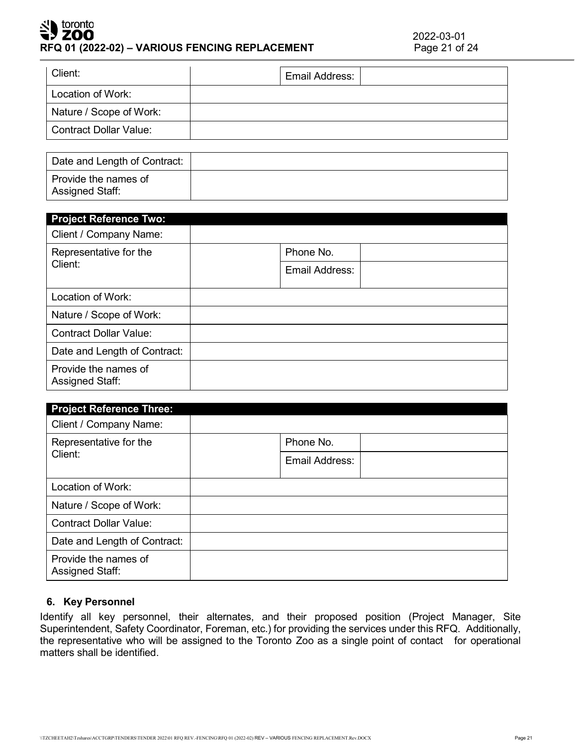## toronto ' ZOO **RFQ 01 (2022-02) – VARIOUS FENCING REPLACEMENT** Page 21 of 24

| Client:                 | Email Address: |  |
|-------------------------|----------------|--|
| Location of Work:       |                |  |
| Nature / Scope of Work: |                |  |
| Contract Dollar Value:  |                |  |
|                         |                |  |

| Date and Length of Contract:            |  |
|-----------------------------------------|--|
| Provide the names of<br>Assigned Staff: |  |

| <b>Project Reference Two:</b>                  |                |  |
|------------------------------------------------|----------------|--|
| Client / Company Name:                         |                |  |
| Representative for the                         | Phone No.      |  |
| Client:                                        | Email Address: |  |
| Location of Work:                              |                |  |
| Nature / Scope of Work:                        |                |  |
| <b>Contract Dollar Value:</b>                  |                |  |
| Date and Length of Contract:                   |                |  |
| Provide the names of<br><b>Assigned Staff:</b> |                |  |

| <b>Project Reference Three:</b>         |                |
|-----------------------------------------|----------------|
| Client / Company Name:                  |                |
| Representative for the                  | Phone No.      |
| Client:                                 | Email Address: |
| Location of Work:                       |                |
| Nature / Scope of Work:                 |                |
| <b>Contract Dollar Value:</b>           |                |
| Date and Length of Contract:            |                |
| Provide the names of<br>Assigned Staff: |                |

# **6. Key Personnel**

Identify all key personnel, their alternates, and their proposed position (Project Manager, Site Superintendent, Safety Coordinator, Foreman, etc.) for providing the services under this RFQ. Additionally, the representative who will be assigned to the Toronto Zoo as a single point of contact for operational matters shall be identified.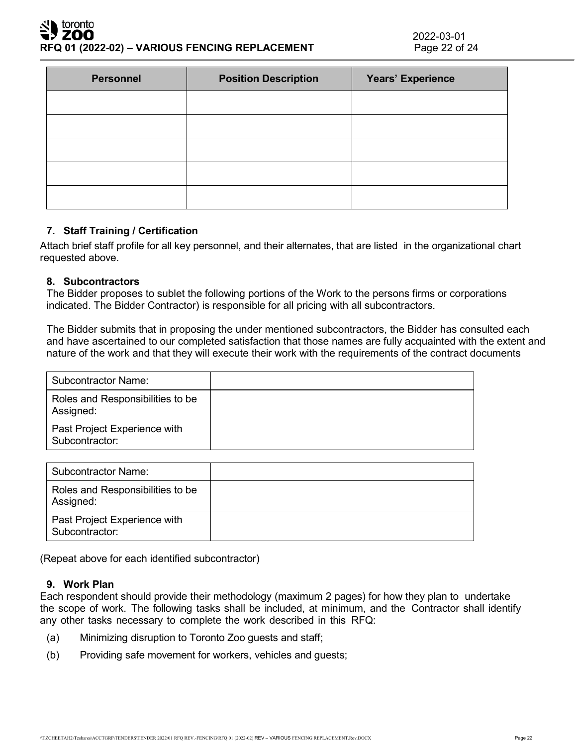## toronto ZOO **RFQ 01 (2022-02) – VARIOUS FENCING REPLACEMENT** Page 22 of 24

| <b>Personnel</b> | <b>Position Description</b> | Years' Experience |
|------------------|-----------------------------|-------------------|
|                  |                             |                   |
|                  |                             |                   |
|                  |                             |                   |
|                  |                             |                   |
|                  |                             |                   |

# **7. Staff Training / Certification**

Attach brief staff profile for all key personnel, and their alternates, that are listed in the organizational chart requested above.

## **8. Subcontractors**

The Bidder proposes to sublet the following portions of the Work to the persons firms or corporations indicated. The Bidder Contractor) is responsible for all pricing with all subcontractors.

The Bidder submits that in proposing the under mentioned subcontractors, the Bidder has consulted each and have ascertained to our completed satisfaction that those names are fully acquainted with the extent and nature of the work and that they will execute their work with the requirements of the contract documents

| Subcontractor Name:                            |  |
|------------------------------------------------|--|
| Roles and Responsibilities to be<br>Assigned:  |  |
| Past Project Experience with<br>Subcontractor: |  |

| <b>Subcontractor Name:</b>                     |  |
|------------------------------------------------|--|
| Roles and Responsibilities to be<br>Assigned:  |  |
| Past Project Experience with<br>Subcontractor: |  |

(Repeat above for each identified subcontractor)

## **9. Work Plan**

Each respondent should provide their methodology (maximum 2 pages) for how they plan to undertake the scope of work. The following tasks shall be included, at minimum, and the Contractor shall identify any other tasks necessary to complete the work described in this RFQ:

- (a) Minimizing disruption to Toronto Zoo guests and staff;
- (b) Providing safe movement for workers, vehicles and guests;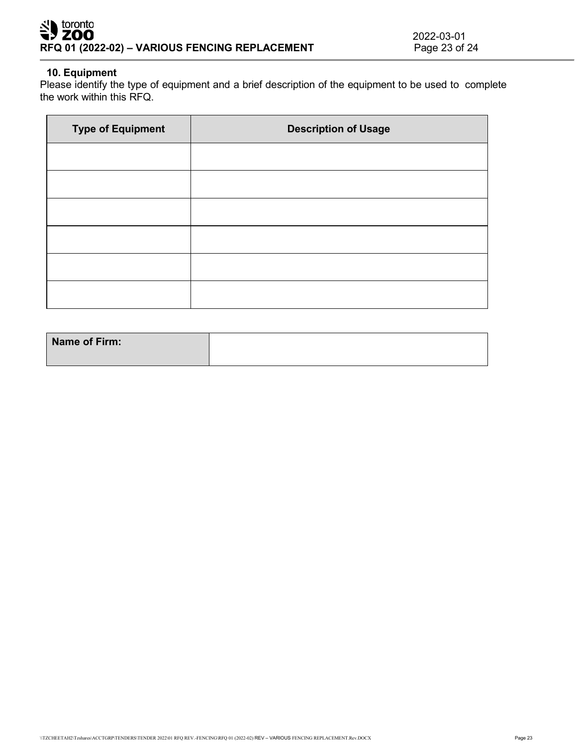# <u>시 toronto</u> **7 ZOO RFQ 01 (2022-02) – VARIOUS FENCING REPLACEMENT**

## **10. Equipment**

Please identify the type of equipment and a brief description of the equipment to be used to complete the work within this RFQ.

| <b>Type of Equipment</b> | <b>Description of Usage</b> |
|--------------------------|-----------------------------|
|                          |                             |
|                          |                             |
|                          |                             |
|                          |                             |
|                          |                             |
|                          |                             |

| Name of Firm: |  |
|---------------|--|
|               |  |